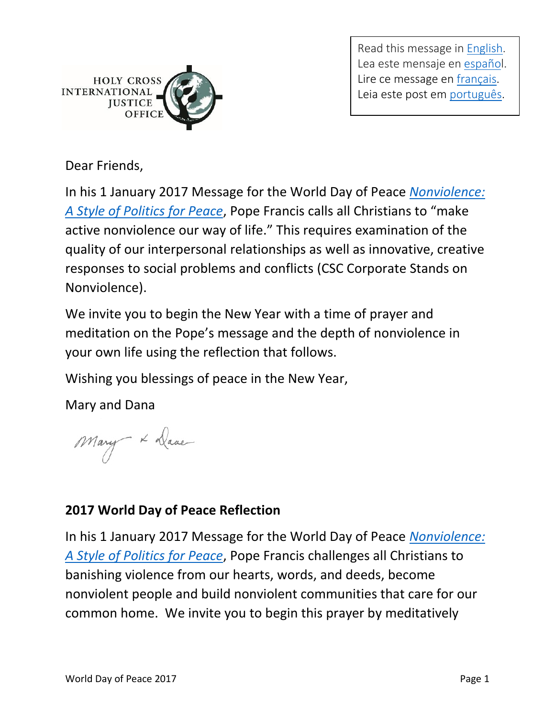

Read this message in [English.](http://www.holycrossjustice.org/resources/HCIJO%20Document%20Library/2017WorldDayofPrayer/WorldDayofPeace.2017.eng.pdf) Lea este mensaje en [español](http://www.holycrossjustice.org/resources/HCIJO%20Document%20Library/2017WorldDayofPrayer/WorldDayofPeace.2017.esp.pdf). Lire ce message en [français.](http://www.holycrossjustice.org/resources/HCIJO%20Document%20Library/2017WorldDayofPrayer/WorldDayofPeace.2017.fr.pdf) Leia este post em [português.](http://www.holycrossjustice.org/resources/HCIJO%20Document%20Library/2017WorldDayofPrayer/WorldDayofPeace.2017.port.pdf)

Dear Friends,

In his 1 January 2017 Message for the World Day of Peace *[Nonviolence:](https://w2.vatican.va/content/francesco/en/messages/peace/documents/papa-francesco_20161208_messaggio-l-giornata-mondiale-pace-2017.html)  [A Style of Politics for Peace](https://w2.vatican.va/content/francesco/en/messages/peace/documents/papa-francesco_20161208_messaggio-l-giornata-mondiale-pace-2017.html)*, Pope Francis calls all Christians to "make active nonviolence our way of life." This requires examination of the quality of our interpersonal relationships as well as innovative, creative responses to social problems and conflicts (CSC Corporate Stands on Nonviolence).

We invite you to begin the New Year with a time of prayer and meditation on the Pope's message and the depth of nonviolence in your own life using the reflection that follows.

Wishing you blessings of peace in the New Year,

Mary and Dana

Mary X Dave

## **2017 World Day of Peace Reflection**

In his 1 January 2017 Message for the World Day of Peace *[Nonviolence:](https://w2.vatican.va/content/francesco/en/messages/peace/documents/papa-francesco_20161208_messaggio-l-giornata-mondiale-pace-2017.html)  [A Style of Politics for Peace](https://w2.vatican.va/content/francesco/en/messages/peace/documents/papa-francesco_20161208_messaggio-l-giornata-mondiale-pace-2017.html)*, Pope Francis challenges all Christians to banishing violence from our hearts, words, and deeds, become nonviolent people and build nonviolent communities that care for our common home. We invite you to begin this prayer by meditatively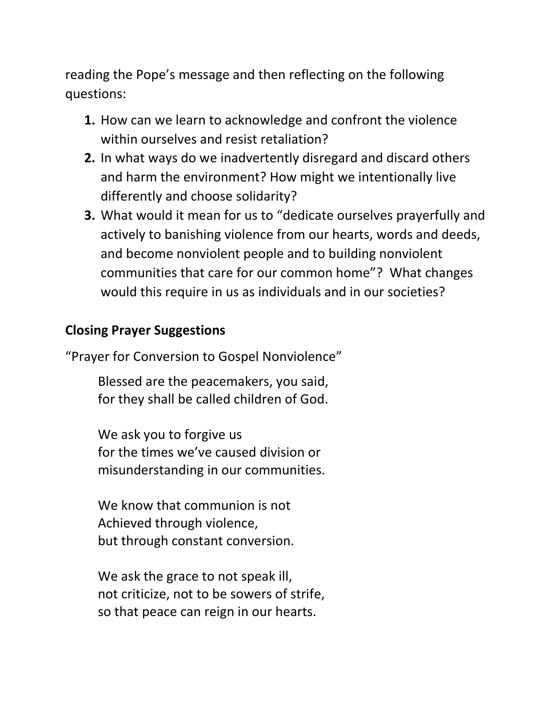reading the Pope's message and then reflecting on the following questions:

- **1.** How can we learn to acknowledge and confront the violence within ourselves and resist retaliation?
- **2.** In what ways do we inadvertently disregard and discard others and harm the environment? How might we intentionally live differently and choose solidarity?
- **3.** What would it mean for us to "dedicate ourselves prayerfully and actively to banishing violence from our hearts, words and deeds, and become nonviolent people and to building nonviolent communities that care for our common home"? What changes would this require in us as individuals and in our societies?

## **Closing Prayer Suggestions**

"Prayer for Conversion to Gospel Nonviolence"

Blessed are the peacemakers, you said, for they shall be called children of God.

We ask you to forgive us for the times we've caused division or misunderstanding in our communities.

We know that communion is not Achieved through violence, but through constant conversion.

We ask the grace to not speak ill, not criticize, not to be sowers of strife, so that peace can reign in our hearts.